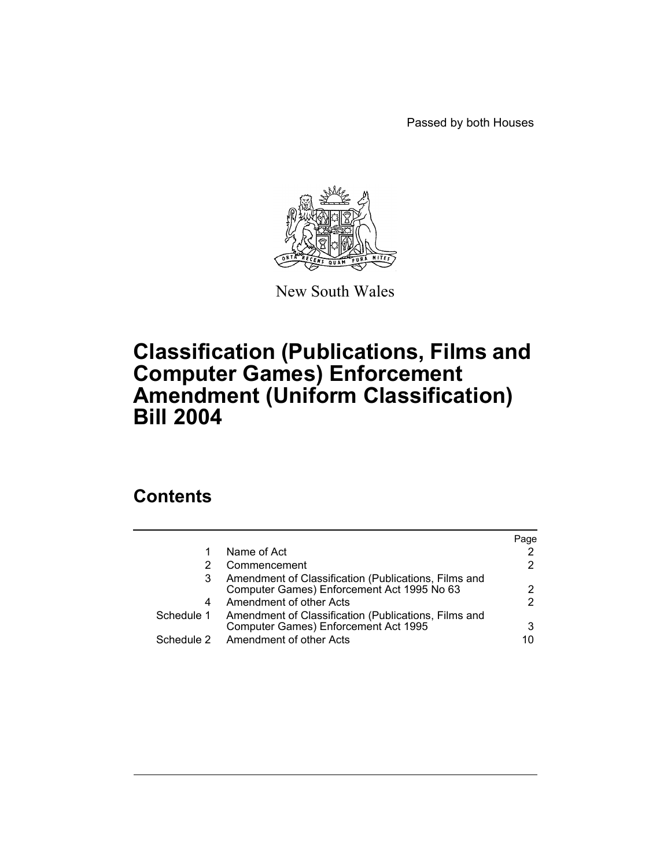Passed by both Houses



New South Wales

# **Classification (Publications, Films and Computer Games) Enforcement Amendment (Uniform Classification) Bill 2004**

## **Contents**

|   |                                                                                                         | Page |
|---|---------------------------------------------------------------------------------------------------------|------|
| 1 | Name of Act                                                                                             |      |
| 2 | Commencement                                                                                            |      |
| 3 | Amendment of Classification (Publications, Films and<br>Computer Games) Enforcement Act 1995 No 63      |      |
| 4 | Amendment of other Acts                                                                                 |      |
|   | Schedule 1 Amendment of Classification (Publications, Films and<br>Computer Games) Enforcement Act 1995 |      |
|   | Schedule 2 Amendment of other Acts                                                                      | 10   |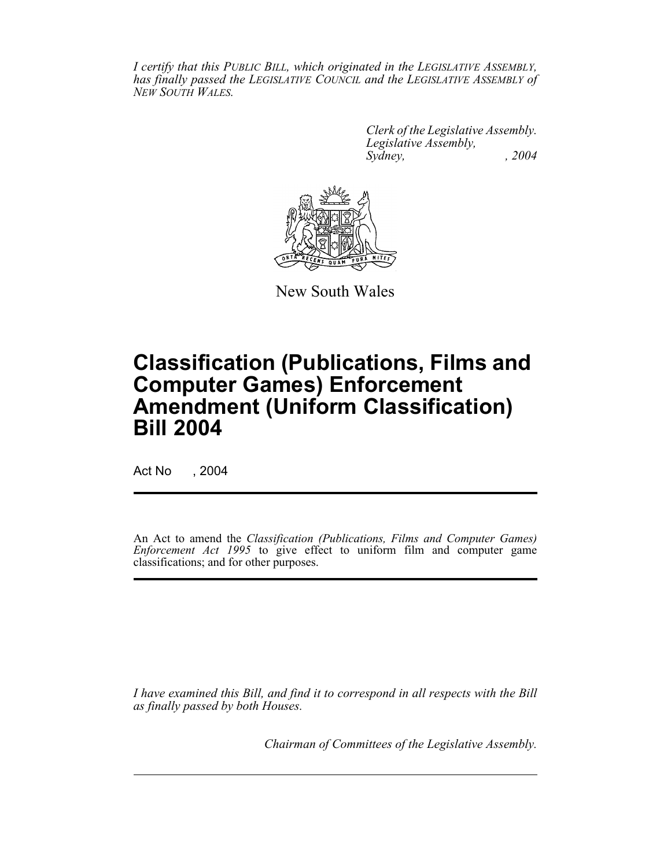*I certify that this PUBLIC BILL, which originated in the LEGISLATIVE ASSEMBLY, has finally passed the LEGISLATIVE COUNCIL and the LEGISLATIVE ASSEMBLY of NEW SOUTH WALES.*

> *Clerk of the Legislative Assembly. Legislative Assembly, Sydney, , 2004*



New South Wales

# **Classification (Publications, Films and Computer Games) Enforcement Amendment (Uniform Classification) Bill 2004**

Act No , 2004

An Act to amend the *Classification (Publications, Films and Computer Games) Enforcement Act 1995* to give effect to uniform film and computer game classifications; and for other purposes.

*I have examined this Bill, and find it to correspond in all respects with the Bill as finally passed by both Houses.*

*Chairman of Committees of the Legislative Assembly.*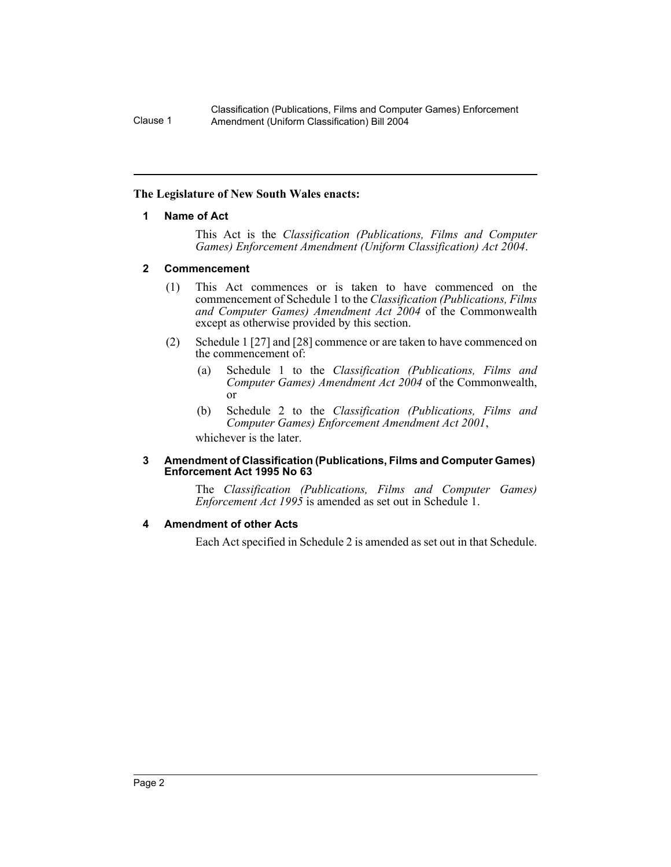#### **The Legislature of New South Wales enacts:**

#### **1 Name of Act**

This Act is the *Classification (Publications, Films and Computer Games) Enforcement Amendment (Uniform Classification) Act 2004*.

#### **2 Commencement**

- (1) This Act commences or is taken to have commenced on the commencement of Schedule 1 to the *Classification (Publications, Films and Computer Games) Amendment Act 2004* of the Commonwealth except as otherwise provided by this section.
- (2) Schedule 1 [27] and [28] commence or are taken to have commenced on the commencement of:
	- (a) Schedule 1 to the *Classification (Publications, Films and Computer Games) Amendment Act 2004* of the Commonwealth, or
	- (b) Schedule 2 to the *Classification (Publications, Films and Computer Games) Enforcement Amendment Act 2001*, whichever is the later.

#### **3 Amendment of Classification (Publications, Films and Computer Games) Enforcement Act 1995 No 63**

The *Classification (Publications, Films and Computer Games) Enforcement Act 1995* is amended as set out in Schedule 1.

#### **4 Amendment of other Acts**

Each Act specified in Schedule 2 is amended as set out in that Schedule.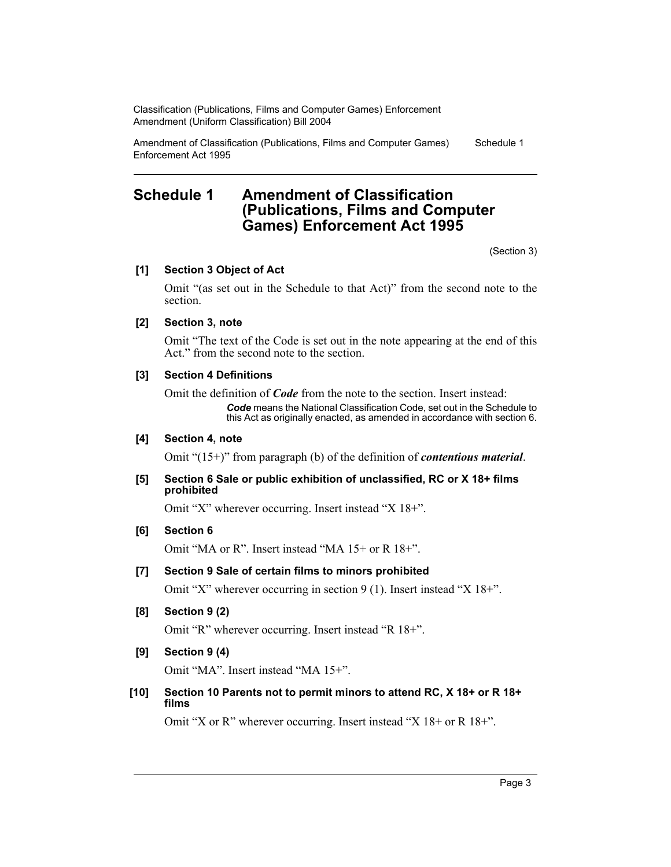Amendment of Classification (Publications, Films and Computer Games) Enforcement Act 1995 Schedule 1

## **Schedule 1 Amendment of Classification (Publications, Films and Computer Games) Enforcement Act 1995**

(Section 3)

#### **[1] Section 3 Object of Act**

Omit "(as set out in the Schedule to that Act)" from the second note to the section.

#### **[2] Section 3, note**

Omit "The text of the Code is set out in the note appearing at the end of this Act." from the second note to the section.

#### **[3] Section 4 Definitions**

Omit the definition of *Code* from the note to the section. Insert instead:

*Code* means the National Classification Code, set out in the Schedule to this Act as originally enacted, as amended in accordance with section 6.

#### **[4] Section 4, note**

Omit "(15+)" from paragraph (b) of the definition of *contentious material*.

#### **[5] Section 6 Sale or public exhibition of unclassified, RC or X 18+ films prohibited**

Omit "X" wherever occurring. Insert instead "X 18+".

#### **[6] Section 6**

Omit "MA or R". Insert instead "MA 15+ or R 18+".

#### **[7] Section 9 Sale of certain films to minors prohibited**

Omit "X" wherever occurring in section 9 (1). Insert instead "X 18+".

#### **[8] Section 9 (2)**

Omit "R" wherever occurring. Insert instead "R 18+".

### **[9] Section 9 (4)**

Omit "MA". Insert instead "MA 15+".

#### **[10] Section 10 Parents not to permit minors to attend RC, X 18+ or R 18+ films**

Omit "X or R" wherever occurring. Insert instead "X 18+ or R 18+".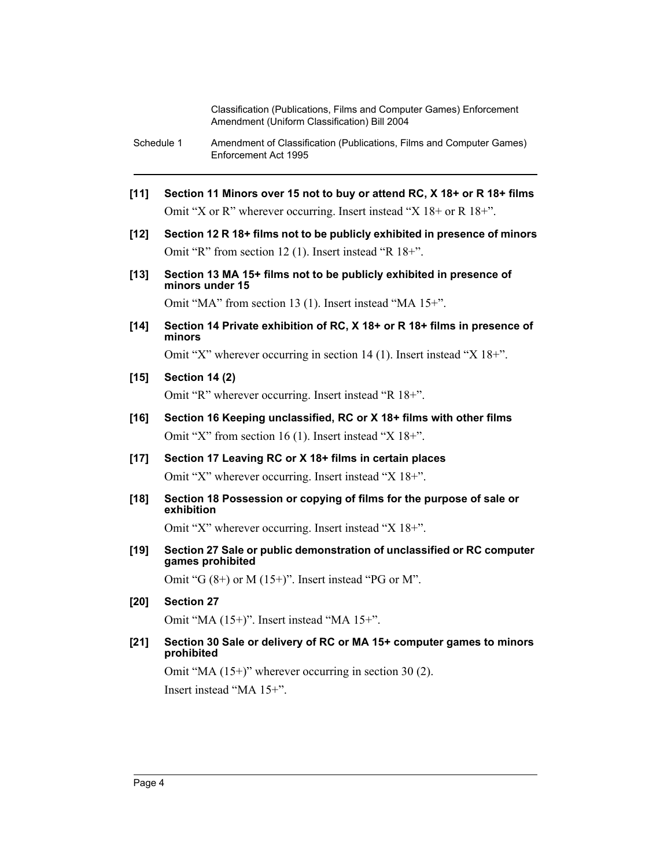- Schedule 1 Amendment of Classification (Publications, Films and Computer Games) Enforcement Act 1995
- **[11] Section 11 Minors over 15 not to buy or attend RC, X 18+ or R 18+ films** Omit "X or R" wherever occurring. Insert instead "X 18+ or R 18+".
- **[12] Section 12 R 18+ films not to be publicly exhibited in presence of minors** Omit "R" from section 12 (1). Insert instead "R 18+".
- **[13] Section 13 MA 15+ films not to be publicly exhibited in presence of minors under 15**

Omit "MA" from section 13 (1). Insert instead "MA 15+".

**[14] Section 14 Private exhibition of RC, X 18+ or R 18+ films in presence of minors**

Omit "X" wherever occurring in section 14 (1). Insert instead "X 18+".

#### **[15] Section 14 (2)**

Omit "R" wherever occurring. Insert instead "R 18+".

- **[16] Section 16 Keeping unclassified, RC or X 18+ films with other films** Omit "X" from section 16 (1). Insert instead "X 18+".
- **[17] Section 17 Leaving RC or X 18+ films in certain places** Omit "X" wherever occurring. Insert instead "X 18+".
- **[18] Section 18 Possession or copying of films for the purpose of sale or exhibition**

Omit "X" wherever occurring. Insert instead "X 18+".

**[19] Section 27 Sale or public demonstration of unclassified or RC computer games prohibited**

Omit "G  $(8+)$  or M  $(15+)$ ". Insert instead "PG or M".

**[20] Section 27**

Omit "MA (15+)". Insert instead "MA 15+".

**[21] Section 30 Sale or delivery of RC or MA 15+ computer games to minors prohibited**

Omit "MA (15+)" wherever occurring in section 30 (2). Insert instead "MA 15+".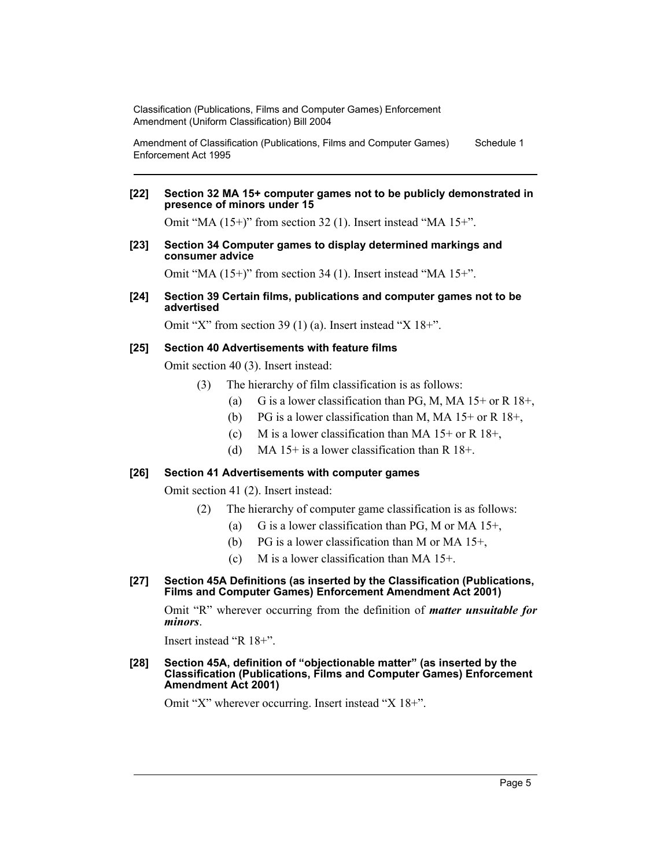Amendment of Classification (Publications, Films and Computer Games) Enforcement Act 1995 Schedule 1

#### **[22] Section 32 MA 15+ computer games not to be publicly demonstrated in presence of minors under 15**

Omit "MA (15+)" from section 32 (1). Insert instead "MA 15+".

#### **[23] Section 34 Computer games to display determined markings and consumer advice**

Omit "MA (15+)" from section 34 (1). Insert instead "MA 15+".

#### **[24] Section 39 Certain films, publications and computer games not to be advertised**

Omit "X" from section 39 (1) (a). Insert instead "X 18+".

#### **[25] Section 40 Advertisements with feature films**

Omit section 40 (3). Insert instead:

- (3) The hierarchy of film classification is as follows:
	- (a) G is a lower classification than PG, M, MA  $15+$  or R  $18+$ ,
	- (b) PG is a lower classification than M, MA  $15+$  or R  $18+$ ,
	- (c) M is a lower classification than MA  $15+$  or R  $18+$ ,
	- (d) MA 15+ is a lower classification than R  $18+$ .

#### **[26] Section 41 Advertisements with computer games**

Omit section 41 (2). Insert instead:

- (2) The hierarchy of computer game classification is as follows:
	- (a) G is a lower classification than PG, M or MA  $15^+$ ,
	- (b) PG is a lower classification than M or MA 15+,
	- (c) M is a lower classification than MA  $15+$ .

#### **[27] Section 45A Definitions (as inserted by the Classification (Publications, Films and Computer Games) Enforcement Amendment Act 2001)**

Omit "R" wherever occurring from the definition of *matter unsuitable for minors*.

Insert instead "R 18+".

#### **[28] Section 45A, definition of "objectionable matter" (as inserted by the Classification (Publications, Films and Computer Games) Enforcement Amendment Act 2001)**

Omit "X" wherever occurring. Insert instead "X 18+".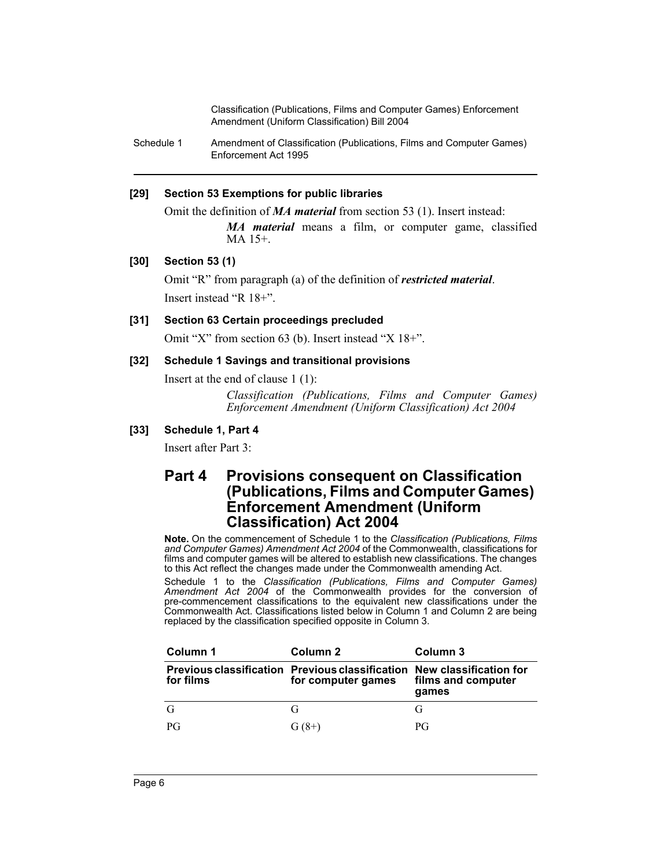Schedule 1 Amendment of Classification (Publications, Films and Computer Games) Enforcement Act 1995

#### **[29] Section 53 Exemptions for public libraries**

Omit the definition of *MA material* from section 53 (1). Insert instead:

*MA material* means a film, or computer game, classified MA 15+.

#### **[30] Section 53 (1)**

Omit "R" from paragraph (a) of the definition of *restricted material*. Insert instead "R 18+".

#### **[31] Section 63 Certain proceedings precluded**

Omit "X" from section 63 (b). Insert instead "X 18+".

#### **[32] Schedule 1 Savings and transitional provisions**

Insert at the end of clause 1 (1):

*Classification (Publications, Films and Computer Games) Enforcement Amendment (Uniform Classification) Act 2004*

#### **[33] Schedule 1, Part 4**

Insert after Part 3:

## **Part 4 Provisions consequent on Classification (Publications, Films and Computer Games) Enforcement Amendment (Uniform Classification) Act 2004**

**Note.** On the commencement of Schedule 1 to the *Classification (Publications, Films and Computer Games) Amendment Act 2004* of the Commonwealth, classifications for films and computer games will be altered to establish new classifications. The changes to this Act reflect the changes made under the Commonwealth amending Act.

Schedule 1 to the *Classification (Publications, Films and Computer Games) Amendment Act 2004* of the Commonwealth provides for the conversion of pre-commencement classifications to the equivalent new classifications under the Commonwealth Act. Classifications listed below in Column 1 and Column 2 are being replaced by the classification specified opposite in Column 3.

| Column 1  | Column 2                                                                                     | Column 3                    |
|-----------|----------------------------------------------------------------------------------------------|-----------------------------|
| for films | Previous classification Previous classification New classification for<br>for computer games | films and computer<br>games |
|           | G                                                                                            |                             |
| PG        | $G(8+)$                                                                                      | РG                          |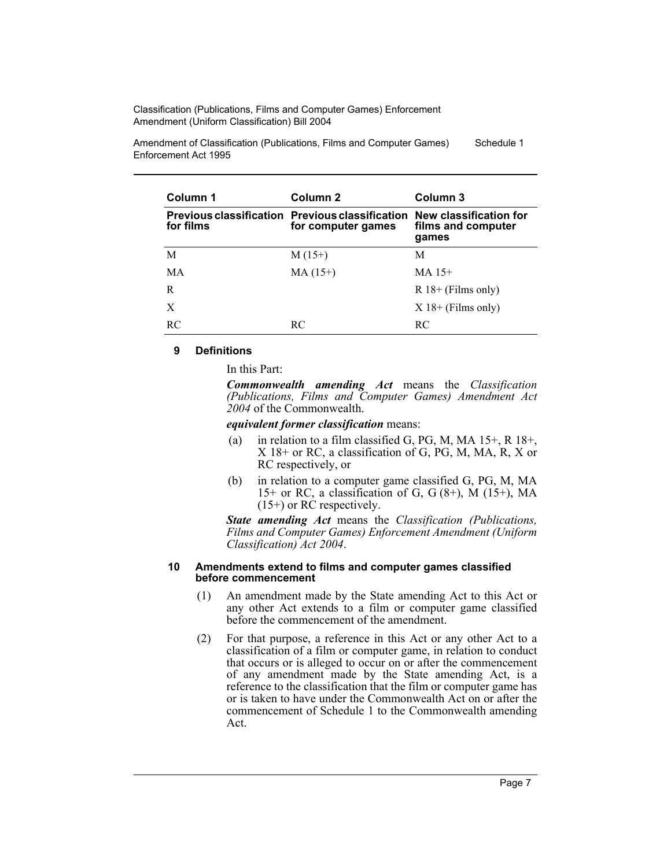Amendment of Classification (Publications, Films and Computer Games) Enforcement Act 1995 Schedule 1

| Column 1       | Column 2                                                                     | Column 3                                              |
|----------------|------------------------------------------------------------------------------|-------------------------------------------------------|
| for films      | <b>Previous classification Previous classification</b><br>for computer games | New classification for<br>films and computer<br>games |
| М              | $M(15+)$                                                                     | М                                                     |
| MA             | $MA (15+)$                                                                   | $MA$ 15+                                              |
| R              |                                                                              | $R$ 18+ (Films only)                                  |
| X              |                                                                              | $X$ 18+ (Films only)                                  |
| R <sub>C</sub> | RC.                                                                          | RC.                                                   |

#### **9 Definitions**

In this Part:

*Commonwealth amending Act* means the *Classification (Publications, Films and Computer Games) Amendment Act 2004* of the Commonwealth.

*equivalent former classification* means:

- (a) in relation to a film classified G, PG, M, MA  $15+$ , R  $18+$ , X 18+ or RC, a classification of G, PG, M, MA, R, X or RC respectively, or
- (b) in relation to a computer game classified G, PG, M, MA 15+ or RC, a classification of G, G  $(8+)$ , M  $(15+)$ , MA (15+) or RC respectively.

*State amending Act* means the *Classification (Publications, Films and Computer Games) Enforcement Amendment (Uniform Classification) Act 2004*.

#### **10 Amendments extend to films and computer games classified before commencement**

- (1) An amendment made by the State amending Act to this Act or any other Act extends to a film or computer game classified before the commencement of the amendment.
- (2) For that purpose, a reference in this Act or any other Act to a classification of a film or computer game, in relation to conduct that occurs or is alleged to occur on or after the commencement of any amendment made by the State amending Act, is a reference to the classification that the film or computer game has or is taken to have under the Commonwealth Act on or after the commencement of Schedule 1 to the Commonwealth amending Act.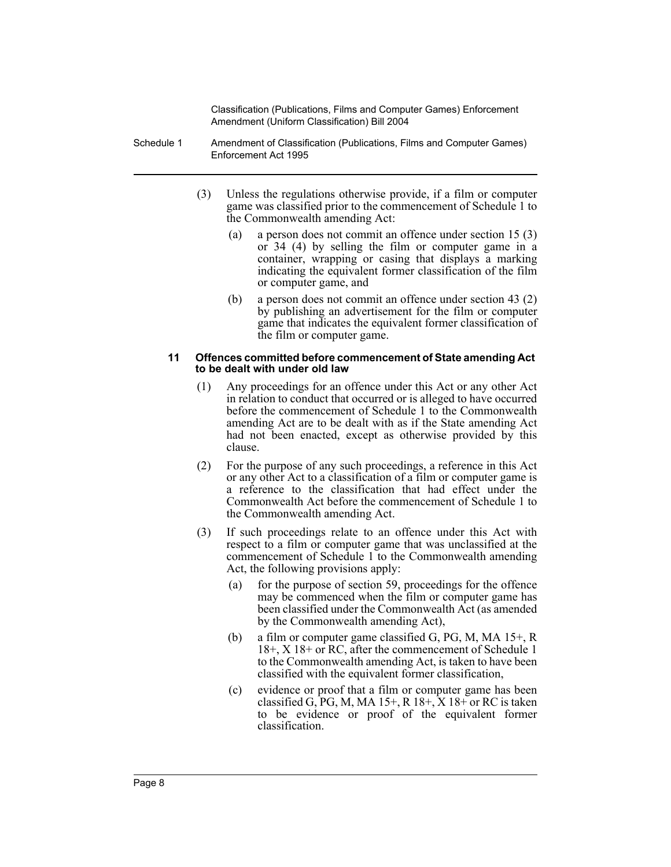- Schedule 1 Amendment of Classification (Publications, Films and Computer Games) Enforcement Act 1995
	- (3) Unless the regulations otherwise provide, if a film or computer game was classified prior to the commencement of Schedule 1 to the Commonwealth amending Act:
		- (a) a person does not commit an offence under section 15 (3) or 34 (4) by selling the film or computer game in a container, wrapping or casing that displays a marking indicating the equivalent former classification of the film or computer game, and
		- (b) a person does not commit an offence under section 43 (2) by publishing an advertisement for the film or computer game that indicates the equivalent former classification of the film or computer game.

#### **11 Offences committed before commencement of State amending Act to be dealt with under old law**

- (1) Any proceedings for an offence under this Act or any other Act in relation to conduct that occurred or is alleged to have occurred before the commencement of Schedule 1 to the Commonwealth amending Act are to be dealt with as if the State amending Act had not been enacted, except as otherwise provided by this clause.
- (2) For the purpose of any such proceedings, a reference in this Act or any other Act to a classification of a film or computer game is a reference to the classification that had effect under the Commonwealth Act before the commencement of Schedule 1 to the Commonwealth amending Act.
- (3) If such proceedings relate to an offence under this Act with respect to a film or computer game that was unclassified at the commencement of Schedule 1 to the Commonwealth amending Act, the following provisions apply:
	- (a) for the purpose of section 59, proceedings for the offence may be commenced when the film or computer game has been classified under the Commonwealth Act (as amended by the Commonwealth amending Act),
	- (b) a film or computer game classified G, PG, M, MA 15+, R 18+, X 18+ or RC, after the commencement of Schedule 1 to the Commonwealth amending Act, is taken to have been classified with the equivalent former classification,
	- (c) evidence or proof that a film or computer game has been classified G, PG, M, MA  $15+$ , R  $18+$ , X  $18+$  or RC is taken to be evidence or proof of the equivalent former classification.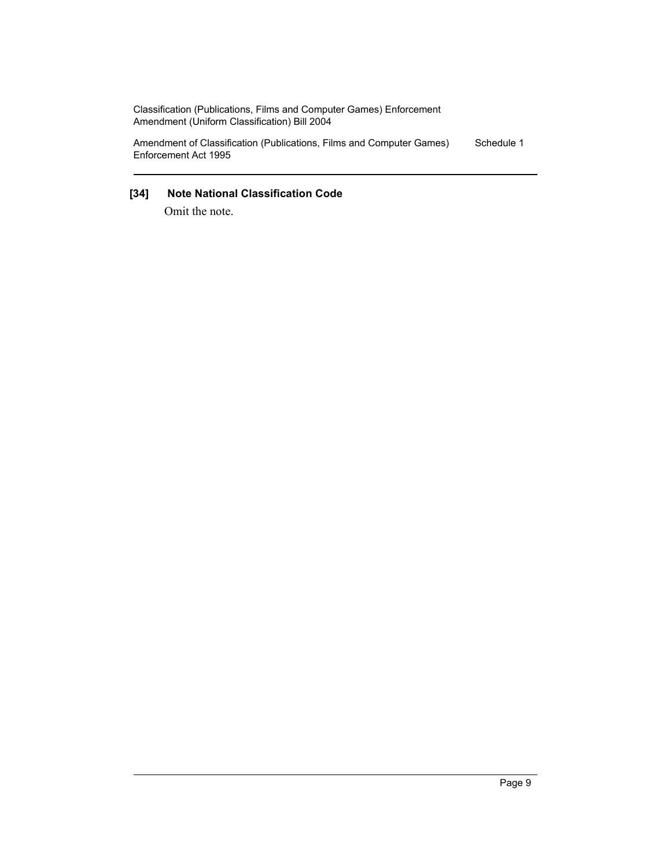Amendment of Classification (Publications, Films and Computer Games) Enforcement Act 1995 Schedule 1

## **[34] Note National Classification Code**

Omit the note.